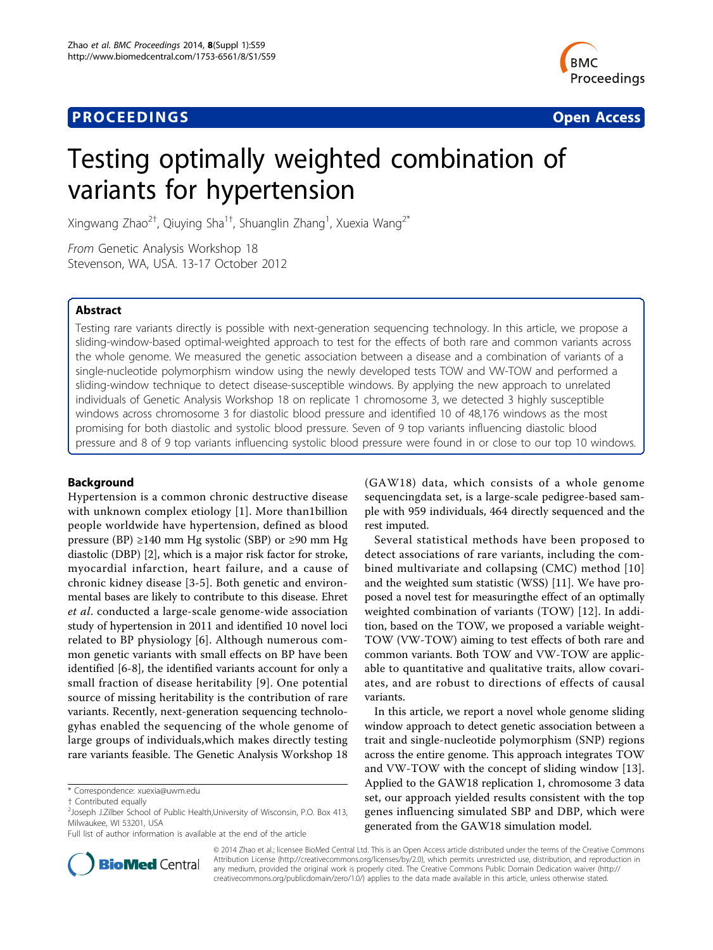# **PROCEEDINGS CONSIDERING S** Open Access **CONSIDERING S**



# Testing optimally weighted combination of variants for hypertension

Xingwang Zhao<sup>2†</sup>, Qiuying Sha<sup>1†</sup>, Shuanglin Zhang<sup>1</sup>, Xuexia Wang<sup>2\*</sup>

From Genetic Analysis Workshop 18 Stevenson, WA, USA. 13-17 October 2012

# Abstract

Testing rare variants directly is possible with next-generation sequencing technology. In this article, we propose a sliding-window-based optimal-weighted approach to test for the effects of both rare and common variants across the whole genome. We measured the genetic association between a disease and a combination of variants of a single-nucleotide polymorphism window using the newly developed tests TOW and VW-TOW and performed a sliding-window technique to detect disease-susceptible windows. By applying the new approach to unrelated individuals of Genetic Analysis Workshop 18 on replicate 1 chromosome 3, we detected 3 highly susceptible windows across chromosome 3 for diastolic blood pressure and identified 10 of 48,176 windows as the most promising for both diastolic and systolic blood pressure. Seven of 9 top variants influencing diastolic blood pressure and 8 of 9 top variants influencing systolic blood pressure were found in or close to our top 10 windows.

# Background

Hypertension is a common chronic destructive disease with unknown complex etiology [[1\]](#page-4-0). More than1billion people worldwide have hypertension, defined as blood pressure (BP) ≥140 mm Hg systolic (SBP) or ≥90 mm Hg diastolic (DBP) [\[2](#page-4-0)], which is a major risk factor for stroke, myocardial infarction, heart failure, and a cause of chronic kidney disease [[3](#page-4-0)-[5\]](#page-4-0). Both genetic and environmental bases are likely to contribute to this disease. Ehret et al. conducted a large-scale genome-wide association study of hypertension in 2011 and identified 10 novel loci related to BP physiology [\[6\]](#page-4-0). Although numerous common genetic variants with small effects on BP have been identified [[6](#page-4-0)-[8\]](#page-4-0), the identified variants account for only a small fraction of disease heritability [[9](#page-4-0)]. One potential source of missing heritability is the contribution of rare variants. Recently, next-generation sequencing technologyhas enabled the sequencing of the whole genome of large groups of individuals,which makes directly testing rare variants feasible. The Genetic Analysis Workshop 18

\* Correspondence: [xuexia@uwm.edu](mailto:xuexia@uwm.edu)

(GAW18) data, which consists of a whole genome sequencingdata set, is a large-scale pedigree-based sample with 959 individuals, 464 directly sequenced and the rest imputed.

Several statistical methods have been proposed to detect associations of rare variants, including the combined multivariate and collapsing (CMC) method [[10](#page-4-0)] and the weighted sum statistic (WSS) [\[11](#page-4-0)]. We have proposed a novel test for measuringthe effect of an optimally weighted combination of variants (TOW) [\[12](#page-4-0)]. In addition, based on the TOW, we proposed a variable weight-TOW (VW-TOW) aiming to test effects of both rare and common variants. Both TOW and VW-TOW are applicable to quantitative and qualitative traits, allow covariates, and are robust to directions of effects of causal variants.

In this article, we report a novel whole genome sliding window approach to detect genetic association between a trait and single-nucleotide polymorphism (SNP) regions across the entire genome. This approach integrates TOW and VW-TOW with the concept of sliding window [\[13](#page-4-0)]. Applied to the GAW18 replication 1, chromosome 3 data set, our approach yielded results consistent with the top genes influencing simulated SBP and DBP, which were generated from the GAW18 simulation model.



© 2014 Zhao et al.; licensee BioMed Central Ltd. This is an Open Access article distributed under the terms of the Creative Commons Attribution License [\(http://creativecommons.org/licenses/by/2.0](http://creativecommons.org/licenses/by/2.0)), which permits unrestricted use, distribution, and reproduction in any medium, provided the original work is properly cited. The Creative Commons Public Domain Dedication waiver [\(http://](http://creativecommons.org/publicdomain/zero/1.0/) [creativecommons.org/publicdomain/zero/1.0/](http://creativecommons.org/publicdomain/zero/1.0/)) applies to the data made available in this article, unless otherwise stated.

<sup>†</sup> Contributed equally <sup>2</sup>

 $2$ Joseph J.Zilber School of Public Health, University of Wisconsin, P.O. Box 413, Milwaukee, WI 53201, USA

Full list of author information is available at the end of the article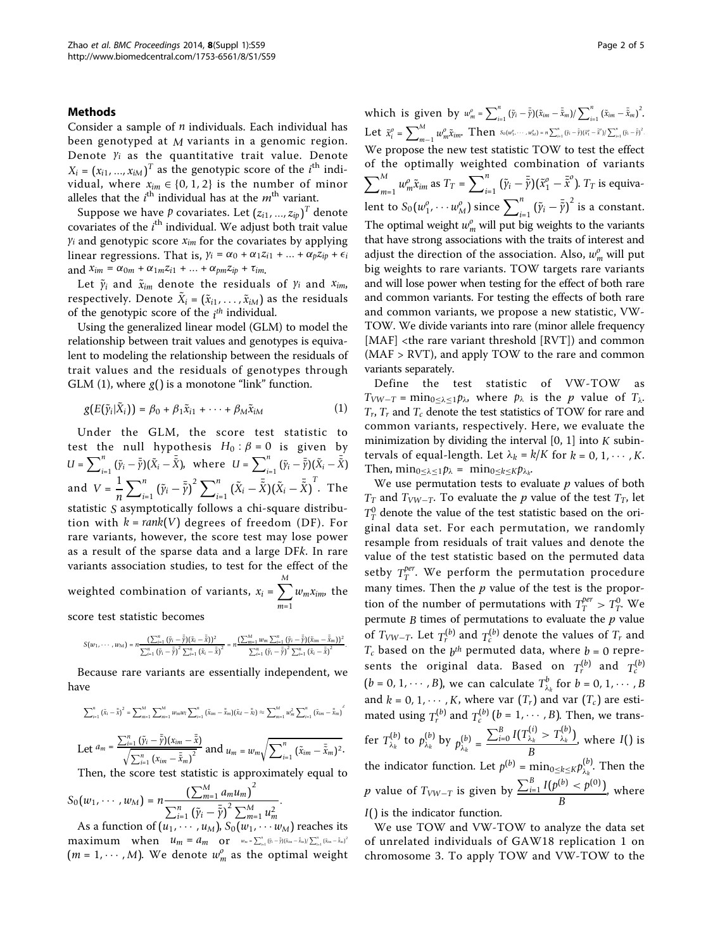## Methods

Consider a sample of *n* individuals. Each individual has been genotyped at *M* variants in a genomic region. Denote *yi* as the quantitative trait value. Denote  $X_i = (x_{i1}, ..., x_{iM})^T$  as the genotypic score of the *i*<sup>th</sup> individual, where  $x_{im} \in \{0, 1, 2\}$  is the number of minor alleles that the  $i^{\text{th}}$  individual has at the  $m^{\text{th}}$  variant.

Suppose we have  $p$  covariates. Let  $(z_{i1},...,z_{ip})^T$  denote covariates of the  $i^{\text{th}}$  individual. We adjust both trait value  $y_i$  and genotypic score  $x_{im}$  for the covariates by applying linear regressions. That is,  $\gamma_i = \alpha_0 + \alpha_1 z_{i1} + ... + \alpha_p z_{ip} + \epsilon_i$ and  $x_{im} = \alpha_{0m} + \alpha_{1m}z_{i1} + \dots + \alpha_{pm}z_{ip} + \tau_{im}$ .

Let  $\tilde{\gamma}_i$  and  $\tilde{x}_{im}$  denote the residuals of  $\gamma_i$  and  $x_{im}$ , respectively. Denote  $\tilde{X}_i = (\tilde{x}_{i1}, \dots, \tilde{x}_{iM})$  as the residuals of the genotypic score of the *i th* individual.

Using the generalized linear model (GLM) to model the relationship between trait values and genotypes is equivalent to modeling the relationship between the residuals of trait values and the residuals of genotypes through GLM (1), where *g*() is a monotone "link" function.

$$
g(E(\tilde{\gamma}_i|\tilde{X}_i)) = \beta_0 + \beta_1 \tilde{x}_{i1} + \cdots + \beta_M \tilde{x}_{iM}
$$
 (1)

Under the GLM, the score test statistic to test the null hypothesis  $H_0: \beta = 0$  is given by  $U = \sum_{i=1}^{n} (\tilde{y}_i - \bar{\tilde{y}})(\tilde{X}_i - \bar{\tilde{X}})$ , where  $U = \sum_{i=1}^{n} (\tilde{y}_i - \bar{\tilde{y}})(\tilde{X}_i - \bar{\tilde{X}})$ and  $V = \frac{1}{n}$  $\sum_{i=1}^{n} (\tilde{y}_i - \overline{\tilde{y}})^2 \sum_{i=1}^{n} (\tilde{X}_i - \overline{\tilde{X}})(\tilde{X}_i - \overline{\tilde{X}})^T$ . The statistic *S* asymptotically follows a chi-square distribution with  $k = rank(V)$  degrees of freedom (DF). For rare variants, however, the score test may lose power as a result of the sparse data and a large DFk. In rare variants association studies, to test for the effect of the weighted combination of variants,  $x_i = \sum^{M}$ *m*=1 *wmxim*, the

score test statistic becomes

$$
S(w_1,\cdots,w_M)=n\frac{(\sum_{i=1}^n{(\tilde{y}_i-\bar{\tilde{y}})}(\tilde{x}_i-\bar{\tilde{x}}))^2}{\sum_{i=1}^n{(\tilde{y}_i-\bar{\tilde{y}})}^2\sum_{i=1}^n{(\tilde{x}_i-\bar{\tilde{x}})}^2}=n\frac{(\sum_{m=1}^Mw_m\sum_{i=1}^n{(\tilde{y}_i-\bar{\tilde{y}})}(\tilde{x}_im-\bar{\tilde{x}}_m))^2}{\sum_{i=1}^n{(\tilde{y}_i-\bar{\tilde{y}})}^2\sum_{i=1}^n{(\tilde{x}_i-\bar{\tilde{x}})}^2}.
$$

Because rare variants are essentially independent, we have

$$
\sum_{i=1}^{n} (\tilde{x}_{i} - \bar{\tilde{x}})^{2} = \sum_{m=1}^{M} \sum_{m=1}^{M} w_{m} w_{l} \sum_{i=1}^{n} (\tilde{x}_{im} - \bar{\tilde{x}}_{m}) (\tilde{x}_{il} - \bar{\tilde{x}}_{l}) \approx \sum_{m=1}^{M} w_{m}^{2} \sum_{i=1}^{n} (\tilde{x}_{im} - \bar{\tilde{x}}_{m})^{2}
$$
  
Let  $a_{m} = \frac{\sum_{i=1}^{n} (\tilde{y}_{i} - \bar{\tilde{y}})(x_{im} - \bar{\tilde{x}})}{\sqrt{\sum_{i=1}^{n} (x_{im} - \bar{\tilde{x}}_{m})^{2}}}$  and  $u_{m} = w_{m} \sqrt{\sum_{i=1}^{n} (\tilde{x}_{im} - \bar{\tilde{x}}_{m})^{2}}$ .

Then, the score test statistic is approximately equal to

$$
S_0(w_1, \cdots, w_M) = n \frac{\left(\sum_{m=1}^M a_m u_m\right)^2}{\sum_{i=1}^n \left(\tilde{\gamma}_i - \bar{\tilde{\gamma}}\right)^2 \sum_{m=1}^M u_m^2}.
$$

As a function of  $(u_1, \dots, u_M)$ ,  $S_0(w_1, \dots, w_M)$  reaches its  $maximum$  when  $u_m = a_m$  or  $w_m = \sum_{i=1}^n (\tilde{y}_i - \tilde{\bar{y}})(\tilde{x}_{im} - \tilde{\bar{x}}_m)/\sum_{i=1}^n (\tilde{x}_{im} - \tilde{\bar{x}}_m)^2$ ( $m = 1, \cdots, M$ ). We denote  $w_m^o$  as the optimal weight

which is given by  $w_m^o = \sum_{i=1}^n (\tilde{y}_i - \bar{\tilde{y}})(\tilde{x}_{im} - \bar{\tilde{x}}_m)/\sum_{i=1}^n (\tilde{x}_{im} - \bar{\tilde{x}}_m)^2$ . Let  $\tilde{x}_i^o = \sum_{m=1}^M w_m^o \tilde{x}_{im}.$  Then  $s_o(w_1^o, \cdots, w_M^o) = n \sum_{i=1}^n (\tilde{y}_i - \tilde{\tilde{y}})(\tilde{x}_i^o - \tilde{\tilde{x}}^o)/\sum_{i=1}^n (\tilde{y}_i - \tilde{\tilde{y}})^2$ We propose the new test statistic TOW to test the effect of the optimally weighted combination of variants  $\sum_{m=1}^{M} w_m^o \tilde{x}_{im}$  as  $T_T = \sum_{i=1}^{n} (\tilde{y}_i - \bar{\tilde{y}})(\tilde{x}_1^o - \bar{\tilde{x}}^o)$ .  $T_T$  is equivalent to  $S_0(w_1^o, \cdots w_M^o)$  since  $\sum_{i=1}^n \left(\tilde{y}_i - \bar{\tilde{y}}\right)^2$  is a constant. The optimal weight  $w_m^o$  will put big weights to the variants that have strong associations with the traits of interest and adjust the direction of the association. Also,  $w_m^o$  will put big weights to rare variants. TOW targets rare variants and will lose power when testing for the effect of both rare and common variants. For testing the effects of both rare and common variants, we propose a new statistic, VW-TOW. We divide variants into rare (minor allele frequency [MAF] <the rare variant threshold [RVT]) and common (MAF > RVT), and apply TOW to the rare and common variants separately.

Define the test statistic of VW-TOW as  $T_{VW-T} = \min_{0 \leq \lambda \leq 1} p_{\lambda}$ , where  $p_{\lambda}$  is the p value of  $T_{\lambda}$ .  $T_r$ ,  $T_r$  and  $T_c$  denote the test statistics of TOW for rare and common variants, respectively. Here, we evaluate the minimization by dividing the interval  $[0, 1]$  into  $K$  subintervals of equal-length. Let  $\lambda_k = k/K$  for  $k = 0, 1, \dots, K$ . Then,  $\min_{0 \leq \lambda \leq 1} p_{\lambda} = \min_{0 \leq k \leq K} p_{\lambda_k}$ .

We use permutation tests to evaluate  $p$  values of both *T<sub>T</sub>* and *T<sub>VW−T</sub>*. To evaluate the *p* value of the test *T<sub>T</sub>*, let  $T_T^0$  denote the value of the test statistic based on the original data set. For each permutation, we randomly resample from residuals of trait values and denote the value of the test statistic based on the permuted data setby  $T_T^{per}$ . We perform the permutation procedure many times. Then the  $p$  value of the test is the proportion of the number of permutations with  $T_T^{per} > T_T^0$ . We permute  $B$  times of permutations to evaluate the  $p$  value of  $T_{VW-T}$ . Let  $T_r^{(b)}$  and  $T_c^{(b)}$  denote the values of  $T_r$  and  $T_c$  based on the  $b^{th}$  permuted data, where  $b = 0$  represents the original data. Based on  $T_r^{(b)}$  and  $T_c^{(b)}$  $(b = 0, 1, \dots, B)$ , we can calculate  $T_{\lambda_k}^b$  for  $b = 0, 1, \dots, B$ and  $k = 0, 1, \dots, K$ , where var  $(T_r)$  and var  $(T_c)$  are estimated using  $T_r^{(b)}$  and  $T_c^{(b)}$  ( $b = 1, \dots, B$ ). Then, we transfer  $T_{\lambda_k}^{(b)}$  to  $p_{\lambda_k}^{(b)}$  by  $p_{\lambda_k}^{(b)} =$  $\sum_{i=0}^{B} I(T_{\lambda_k}^{(i)} > T_{\lambda_k}^{(b)})$ *B* , where *I*() is the indicator function. Let  $p^{(b)} = \min_{0 \le k \le K} p_{\lambda_k}^{(b)}$ . Then the p value of  $T_{VW-T}$  is given by  $\frac{\sum_{i=1}^{B} I(p^{(b)} < p^{(0)})}{P}$ *B* , where *I*() is the indicator function.

We use TOW and VW-TOW to analyze the data set of unrelated individuals of GAW18 replication 1 on chromosome 3. To apply TOW and VW-TOW to the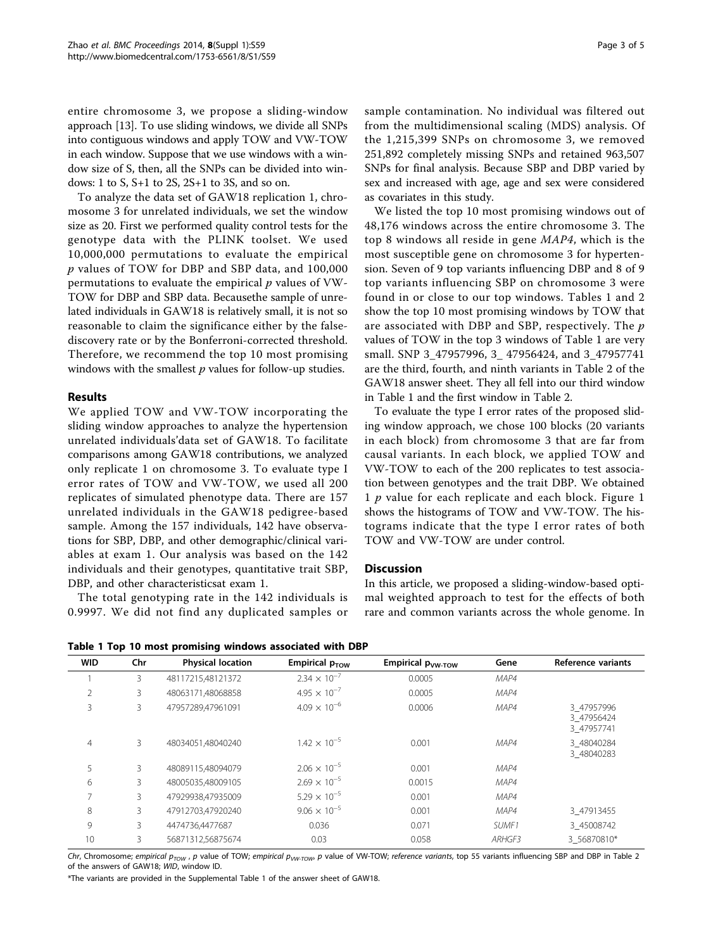entire chromosome 3, we propose a sliding-window approach [[13](#page-4-0)]. To use sliding windows, we divide all SNPs into contiguous windows and apply TOW and VW-TOW in each window. Suppose that we use windows with a window size of S, then, all the SNPs can be divided into windows: 1 to S, S+1 to 2S, 2S+1 to 3S, and so on.

To analyze the data set of GAW18 replication 1, chromosome 3 for unrelated individuals, we set the window size as 20. First we performed quality control tests for the genotype data with the PLINK toolset. We used 10,000,000 permutations to evaluate the empirical p values of TOW for DBP and SBP data, and 100,000 permutations to evaluate the empirical  $p$  values of VW-TOW for DBP and SBP data. Becausethe sample of unrelated individuals in GAW18 is relatively small, it is not so reasonable to claim the significance either by the falsediscovery rate or by the Bonferroni-corrected threshold. Therefore, we recommend the top 10 most promising windows with the smallest  $p$  values for follow-up studies.

# Results

We applied TOW and VW-TOW incorporating the sliding window approaches to analyze the hypertension unrelated individuals'data set of GAW18. To facilitate comparisons among GAW18 contributions, we analyzed only replicate 1 on chromosome 3. To evaluate type I error rates of TOW and VW-TOW, we used all 200 replicates of simulated phenotype data. There are 157 unrelated individuals in the GAW18 pedigree-based sample. Among the 157 individuals, 142 have observations for SBP, DBP, and other demographic/clinical variables at exam 1. Our analysis was based on the 142 individuals and their genotypes, quantitative trait SBP, DBP, and other characteristicsat exam 1.

The total genotyping rate in the 142 individuals is 0.9997. We did not find any duplicated samples or sample contamination. No individual was filtered out from the multidimensional scaling (MDS) analysis. Of the 1,215,399 SNPs on chromosome 3, we removed 251,892 completely missing SNPs and retained 963,507 SNPs for final analysis. Because SBP and DBP varied by sex and increased with age, age and sex were considered

as covariates in this study. We listed the top 10 most promising windows out of 48,176 windows across the entire chromosome 3. The top 8 windows all reside in gene MAP4, which is the most susceptible gene on chromosome 3 for hypertension. Seven of 9 top variants influencing DBP and 8 of 9 top variants influencing SBP on chromosome 3 were found in or close to our top windows. Tables 1 and 2 show the top 10 most promising windows by TOW that are associated with DBP and SBP, respectively. The  $p$ values of TOW in the top 3 windows of Table 1 are very small. SNP 3\_47957996, 3\_ 47956424, and 3\_47957741 are the third, fourth, and ninth variants in Table [2](#page-3-0) of the GAW18 answer sheet. They all fell into our third window in Table 1 and the first window in Table [2](#page-3-0).

To evaluate the type I error rates of the proposed sliding window approach, we chose 100 blocks (20 variants in each block) from chromosome 3 that are far from causal variants. In each block, we applied TOW and VW-TOW to each of the 200 replicates to test association between genotypes and the trait DBP. We obtained 1  $p$  value for each replicate and each block. Figure [1](#page-3-0) shows the histograms of TOW and VW-TOW. The histograms indicate that the type I error rates of both TOW and VW-TOW are under control.

# **Discussion**

In this article, we proposed a sliding-window-based optimal weighted approach to test for the effects of both rare and common variants across the whole genome. In

|  |  |  |  |  | Table 1 Top 10 most promising windows associated with DBP |  |
|--|--|--|--|--|-----------------------------------------------------------|--|
|--|--|--|--|--|-----------------------------------------------------------|--|

| <b>WID</b>     | <br>Chr | <b>Physical location</b> | Empirical p <sub>TOW</sub> | Empirical p <sub>VW-TOW</sub> | Gene   | Reference variants                     |
|----------------|---------|--------------------------|----------------------------|-------------------------------|--------|----------------------------------------|
|                | 3       | 48117215,48121372        | $2.34 \times 10^{-7}$      | 0.0005                        | MAP4   |                                        |
| 2              | 3       | 48063171.48068858        | $4.95 \times 10^{-7}$      | 0.0005                        | MAP4   |                                        |
| 3              | 3       | 47957289,47961091        | $4.09 \times 10^{-6}$      | 0.0006                        | MAP4   | 3 47957996<br>3_47956424<br>3 47957741 |
| $\overline{4}$ | 3       | 48034051,48040240        | $1.42 \times 10^{-5}$      | 0.001                         | MAP4   | 3 48040284<br>3 48040283               |
| 5              | 3       | 48089115,48094079        | $2.06 \times 10^{-5}$      | 0.001                         | MAP4   |                                        |
| 6              | 3       | 48005035.48009105        | $2.69 \times 10^{-5}$      | 0.0015                        | MAP4   |                                        |
| $\overline{7}$ | 3       | 47929938,47935009        | $5.29 \times 10^{-5}$      | 0.001                         | MAP4   |                                        |
| 8              | 3       | 47912703,47920240        | $9.06 \times 10^{-5}$      | 0.001                         | MAP4   | 3 47913455                             |
| 9              | 3       | 4474736,4477687          | 0.036                      | 0.071                         | SUMF1  | 3 45008742                             |
| 10             | 3       | 56871312.56875674        | 0.03                       | 0.058                         | ARHGF3 | 3 56870810*                            |

Chr, Chromosome; empirical  $p_{TOW}$ , p value of TOW; empirical  $p_{VW-TOW}$ , p value of VW-TOW; reference variants, top 55 variants influencing SBP and DBP in Table 2 of the answers of GAW18; WID, window ID.

\*The variants are provided in the Supplemental Table 1 of the answer sheet of GAW18.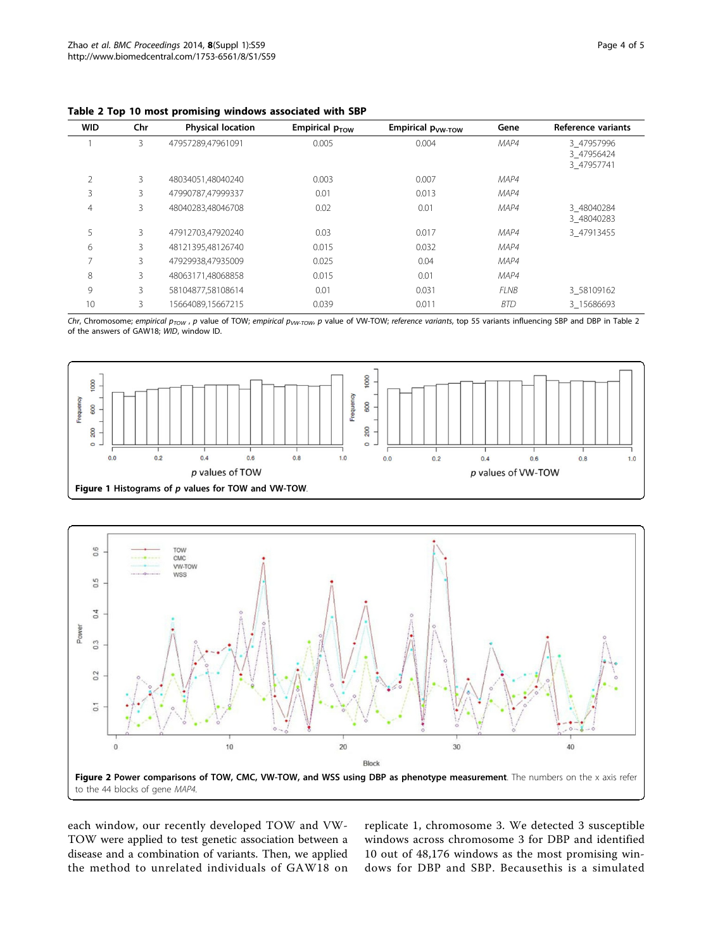| <b>WID</b>     | Chr | <b>Physical location</b> | Empirical $p_{TOW}$ | Empirical p <sub>vw-TOW</sub> | Gene        | Reference variants                     |
|----------------|-----|--------------------------|---------------------|-------------------------------|-------------|----------------------------------------|
|                | 3   | 47957289,47961091        | 0.005               | 0.004                         | MAP4        | 3 47957996<br>3 47956424<br>3 47957741 |
| $\overline{2}$ | 3   | 48034051,48040240        | 0.003               | 0.007                         | MAP4        |                                        |
| 3              | 3   | 47990787,47999337        | 0.01                | 0.013                         | MAP4        |                                        |
| $\overline{4}$ | 3   | 48040283.48046708        | 0.02                | 0.01                          | MAP4        | 3 48040284<br>3 48040283               |
| 5              | 3   | 47912703.47920240        | 0.03                | 0.017                         | MAP4        | 3 47913455                             |
| 6              | 3   | 48121395.48126740        | 0.015               | 0.032                         | MAP4        |                                        |
| ⇁              | 3   | 47929938,47935009        | 0.025               | 0.04                          | MAP4        |                                        |
| 8              | 3   | 48063171,48068858        | 0.015               | 0.01                          | MAP4        |                                        |
| 9              | 3   | 58104877,58108614        | 0.01                | 0.031                         | <b>FLNB</b> | 3 58109162                             |
| 10             | 3   | 15664089,15667215        | 0.039               | 0.011                         | <b>BTD</b>  | 3 15686693                             |

<span id="page-3-0"></span>Table 2 Top 10 most promising windows associated with SBP

Chr, Chromosome; empirical  $p_{TOW}$ , p value of TOW; empirical  $p_{VW-TOW}$ , p value of VW-TOW; reference variants, top 55 variants influencing SBP and DBP in Table 2 of the answers of GAW18; WID, window ID.





each window, our recently developed TOW and VW-TOW were applied to test genetic association between a disease and a combination of variants. Then, we applied the method to unrelated individuals of GAW18 on replicate 1, chromosome 3. We detected 3 susceptible windows across chromosome 3 for DBP and identified 10 out of 48,176 windows as the most promising windows for DBP and SBP. Becausethis is a simulated